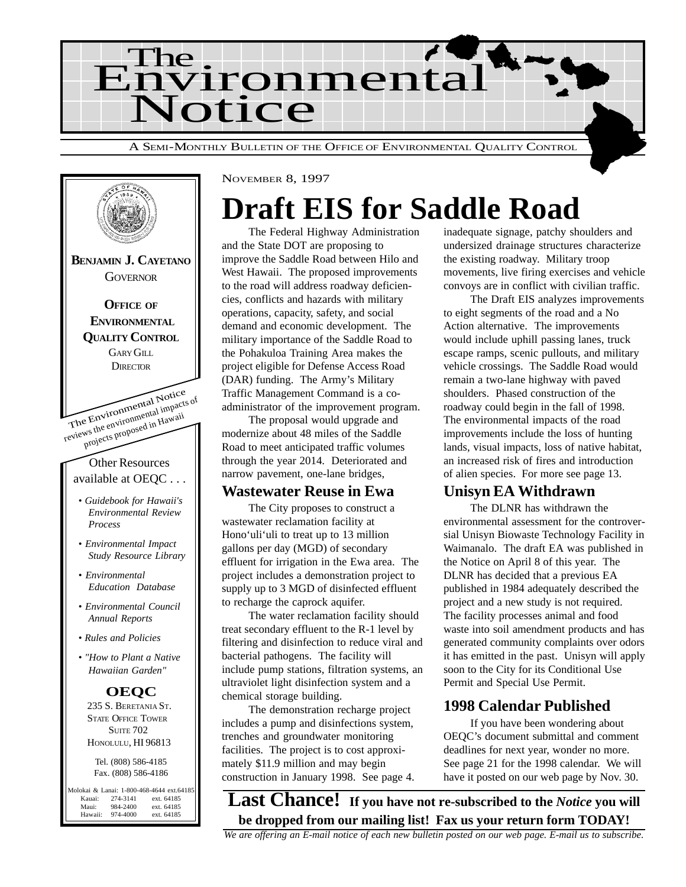



# **Draft EIS for Saddle Road**

The Federal Highway Administration and the State DOT are proposing to improve the Saddle Road between Hilo and West Hawaii. The proposed improvements to the road will address roadway deficiencies, conflicts and hazards with military operations, capacity, safety, and social demand and economic development. The military importance of the Saddle Road to the Pohakuloa Training Area makes the project eligible for Defense Access Road (DAR) funding. The Army's Military Traffic Management Command is a coadministrator of the improvement program.

The proposal would upgrade and modernize about 48 miles of the Saddle Road to meet anticipated traffic volumes through the year 2014. Deteriorated and narrow pavement, one-lane bridges,

#### **Wastewater Reuse in Ewa**

The City proposes to construct a wastewater reclamation facility at Hono'uli'uli to treat up to 13 million gallons per day (MGD) of secondary effluent for irrigation in the Ewa area. The project includes a demonstration project to supply up to 3 MGD of disinfected effluent to recharge the caprock aquifer.

The water reclamation facility should treat secondary effluent to the R-1 level by filtering and disinfection to reduce viral and bacterial pathogens. The facility will include pump stations, filtration systems, an ultraviolet light disinfection system and a chemical storage building.

The demonstration recharge project includes a pump and disinfections system, trenches and groundwater monitoring facilities. The project is to cost approximately \$11.9 million and may begin construction in January 1998. See page 4. inadequate signage, patchy shoulders and undersized drainage structures characterize the existing roadway. Military troop movements, live firing exercises and vehicle convoys are in conflict with civilian traffic.

The Draft EIS analyzes improvements to eight segments of the road and a No Action alternative. The improvements would include uphill passing lanes, truck escape ramps, scenic pullouts, and military vehicle crossings. The Saddle Road would remain a two-lane highway with paved shoulders. Phased construction of the roadway could begin in the fall of 1998. The environmental impacts of the road improvements include the loss of hunting lands, visual impacts, loss of native habitat, an increased risk of fires and introduction of alien species. For more see page 13.

#### **Unisyn EA Withdrawn**

The DLNR has withdrawn the environmental assessment for the controversial Unisyn Biowaste Technology Facility in Waimanalo. The draft EA was published in the Notice on April 8 of this year. The DLNR has decided that a previous EA published in 1984 adequately described the project and a new study is not required. The facility processes animal and food waste into soil amendment products and has generated community complaints over odors it has emitted in the past. Unisyn will apply soon to the City for its Conditional Use Permit and Special Use Permit.

#### **1998 Calendar Published**

If you have been wondering about OEQC's document submittal and comment deadlines for next year, wonder no more. See page 21 for the 1998 calendar. We will have it posted on our web page by Nov. 30.

**Last Chance! If you have not re-subscribed to the** *Notice* **you will be dropped from our mailing list! Fax us your return form TODAY!**

*We are offering an E-mail notice of each new bulletin posted on our web page. E-mail us to subscribe.*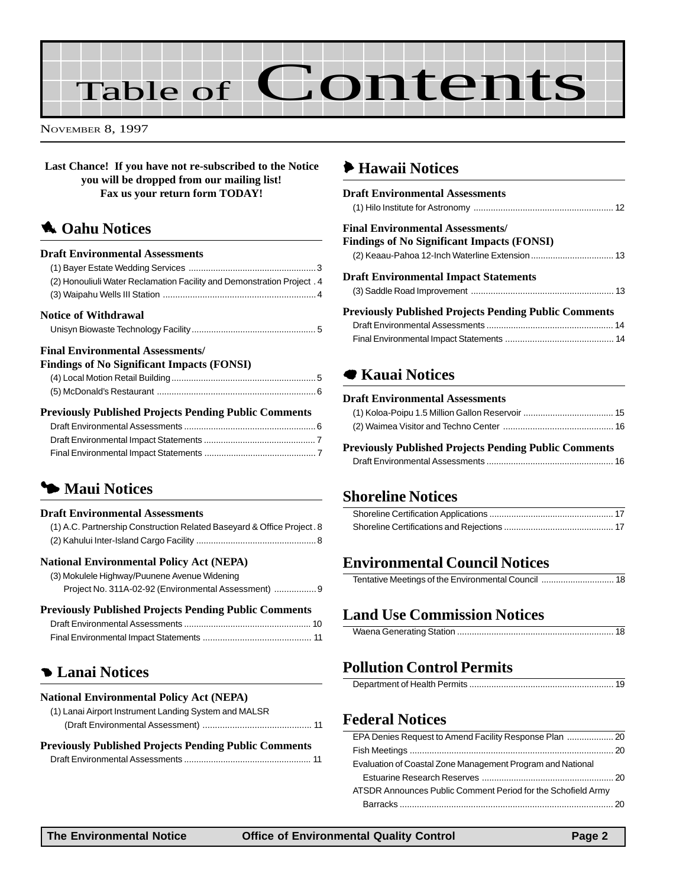# Table of Contents

NOVEMBER 8, 1997

**Last Chance! If you have not re-subscribed to the Notice you will be dropped from our mailing list! Fax us your return form TODAY!**

#### **1** Oahu Notices

#### **Draft Environmental Assessments**

| (2) Honouliuli Water Reclamation Facility and Demonstration Project . 4 |  |
|-------------------------------------------------------------------------|--|
|                                                                         |  |
| Notice of Withdrawal                                                    |  |
|                                                                         |  |
| <b>Final Environmental Assessments/</b>                                 |  |
| <b>Findings of No Significant Impacts (FONSI)</b>                       |  |

| Findings of No Significant Impacts (FONSI) |  |
|--------------------------------------------|--|
|                                            |  |
|                                            |  |
|                                            |  |

#### **Previously Published Projects Pending Public Comments**

## 3 **Maui Notices**

#### **Draft Environmental Assessments**

| (1) A.C. Partnership Construction Related Baseyard & Office Project. 8 |  |
|------------------------------------------------------------------------|--|
|                                                                        |  |

#### **National Environmental Policy Act (NEPA)**

| (3) Mokulele Highway/Puunene Avenue Widening         |  |
|------------------------------------------------------|--|
| Project No. 311A-02-92 (Environmental Assessment)  9 |  |

#### **Previously Published Projects Pending Public Comments**

#### 4 **Lanai Notices**

#### **National Environmental Policy Act (NEPA)**

| (1) Lanai Airport Instrument Landing System and MALSR |  |
|-------------------------------------------------------|--|
|                                                       |  |

#### **Previously Published Projects Pending Public Comments**

|--|

#### 6 **[Hawaii Notices](#page-11-0)**

| <b>Draft Environmental Assessments</b>                       |  |
|--------------------------------------------------------------|--|
| <b>Final Environmental Assessments/</b>                      |  |
| Findings of No Significant Impacts (FONSI)                   |  |
|                                                              |  |
| <b>Draft Environmental Impact Statements</b>                 |  |
|                                                              |  |
| <b>Previously Published Projects Pending Public Comments</b> |  |
|                                                              |  |
|                                                              |  |

#### 7 **Kauai Notices**

#### **Draft Environmental Assessments**

#### **Previously Published Projects Pending Public Comments**

|--|

#### **Shoreline Notices**

#### **Environmental Council Notices**

|--|--|

#### **Land Use Commission Notices**

#### **Pollution Control Permits**

|--|

#### **Federal Notices**

| EPA Denies Request to Amend Facility Response Plan  20       |  |
|--------------------------------------------------------------|--|
|                                                              |  |
| Evaluation of Coastal Zone Management Program and National   |  |
|                                                              |  |
| ATSDR Announces Public Comment Period for the Schofield Army |  |
|                                                              |  |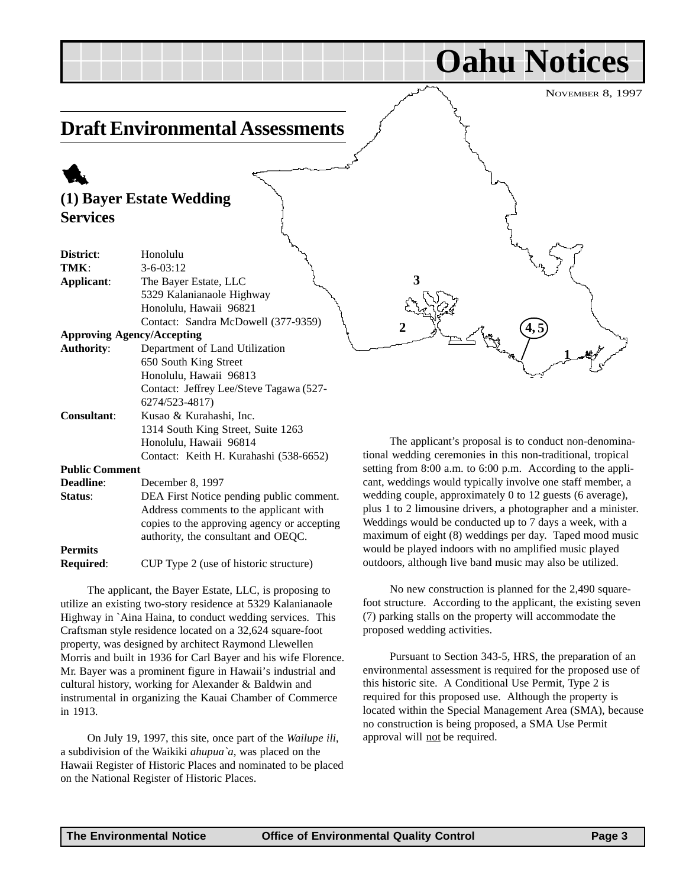**1**

**4, 5**

**Oahu Notices**

## <span id="page-2-0"></span>**Draft Environmental Assessments**

## 1 **(1) Bayer Estate Wedding Services**

| District:             | Honolulu                                    |
|-----------------------|---------------------------------------------|
| TMK:                  | $3 - 6 - 03:12$                             |
| Applicant:            | The Bayer Estate, LLC                       |
|                       | 5329 Kalanianaole Highway                   |
|                       | Honolulu, Hawaii 96821                      |
|                       | Contact: Sandra McDowell (377-9359)         |
|                       | <b>Approving Agency/Accepting</b>           |
| <b>Authority:</b>     | Department of Land Utilization              |
|                       | 650 South King Street                       |
|                       | Honolulu, Hawaii 96813                      |
|                       | Contact: Jeffrey Lee/Steve Tagawa (527-     |
|                       | 6274/523-4817)                              |
| <b>Consultant:</b>    | Kusao & Kurahashi, Inc.                     |
|                       | 1314 South King Street, Suite 1263          |
|                       | Honolulu, Hawaii 96814                      |
|                       | Contact: Keith H. Kurahashi (538-6652)      |
| <b>Public Comment</b> |                                             |
| <b>Deadline:</b>      | December 8, 1997                            |
| Status:               | DEA First Notice pending public comment.    |
|                       | Address comments to the applicant with      |
|                       | copies to the approving agency or accepting |
|                       | authority, the consultant and OEQC.         |
| <b>Permits</b>        |                                             |

**Required:** CUP Type 2 (use of historic structure)

The applicant, the Bayer Estate, LLC, is proposing to utilize an existing two-story residence at 5329 Kalanianaole Highway in `Aina Haina, to conduct wedding services. This Craftsman style residence located on a 32,624 square-foot property, was designed by architect Raymond Llewellen Morris and built in 1936 for Carl Bayer and his wife Florence. Mr. Bayer was a prominent figure in Hawaii's industrial and cultural history, working for Alexander & Baldwin and instrumental in organizing the Kauai Chamber of Commerce in 1913.

On July 19, 1997, this site, once part of the *Wailupe ili*, a subdivision of the Waikiki *ahupua`a*, was placed on the Hawaii Register of Historic Places and nominated to be placed on the National Register of Historic Places.

The applicant's proposal is to conduct non-denominational wedding ceremonies in this non-traditional, tropical setting from 8:00 a.m. to 6:00 p.m. According to the applicant, weddings would typically involve one staff member, a wedding couple, approximately 0 to 12 guests (6 average), plus 1 to 2 limousine drivers, a photographer and a minister. Weddings would be conducted up to 7 days a week, with a maximum of eight (8) weddings per day. Taped mood music would be played indoors with no amplified music played outdoors, although live band music may also be utilized.

**2**

**3**

No new construction is planned for the 2,490 squarefoot structure. According to the applicant, the existing seven (7) parking stalls on the property will accommodate the proposed wedding activities.

Pursuant to Section 343-5, HRS, the preparation of an environmental assessment is required for the proposed use of this historic site. A Conditional Use Permit, Type 2 is required for this proposed use. Although the property is located within the Special Management Area (SMA), because no construction is being proposed, a SMA Use Permit approval will not be required.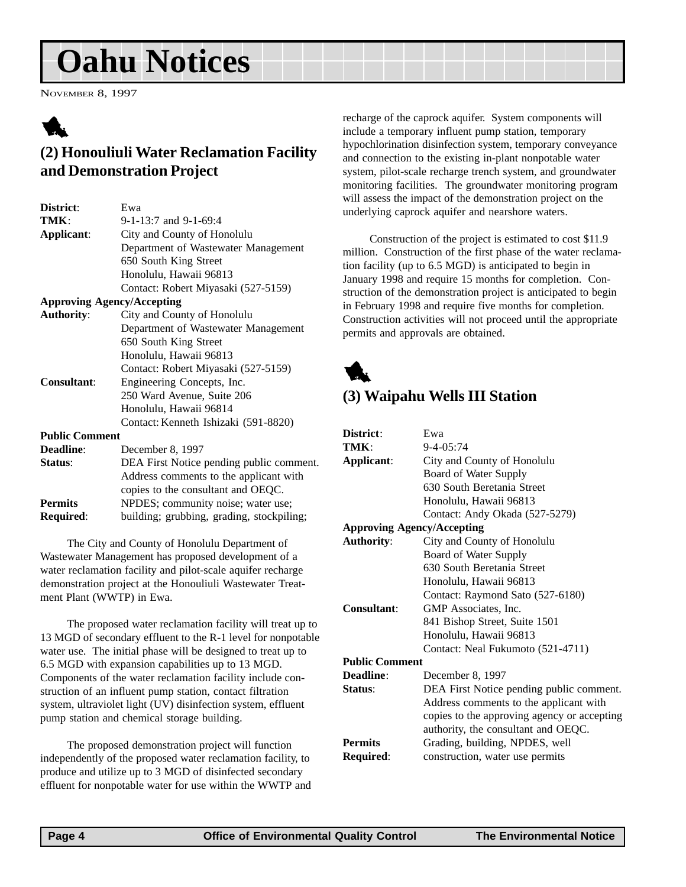# <span id="page-3-0"></span>**Oahu Notices**

NOVEMBER 8, 1997

# 1

### **(2) Honouliuli Water Reclamation Facility and Demonstration Project**

| District:             | Ewa                                       |
|-----------------------|-------------------------------------------|
| TMK:                  | 9-1-13:7 and 9-1-69:4                     |
| Applicant:            | City and County of Honolulu               |
|                       | Department of Wastewater Management       |
|                       | 650 South King Street                     |
|                       | Honolulu, Hawaii 96813                    |
|                       | Contact: Robert Miyasaki (527-5159)       |
|                       | <b>Approving Agency/Accepting</b>         |
| <b>Authority:</b>     | City and County of Honolulu               |
|                       | Department of Wastewater Management       |
|                       | 650 South King Street                     |
|                       | Honolulu, Hawaii 96813                    |
|                       | Contact: Robert Miyasaki (527-5159)       |
| <b>Consultant:</b>    | Engineering Concepts, Inc.                |
|                       | 250 Ward Avenue, Suite 206                |
|                       | Honolulu, Hawaii 96814                    |
|                       | Contact: Kenneth Ishizaki (591-8820)      |
| <b>Public Comment</b> |                                           |
|                       |                                           |
| <b>Deadline:</b>      | December 8, 1997                          |
| Status:               | DEA First Notice pending public comment.  |
|                       | Address comments to the applicant with    |
|                       | copies to the consultant and OEQC.        |
| <b>Permits</b>        | NPDES; community noise; water use;        |
| <b>Required:</b>      | building; grubbing, grading, stockpiling; |

The City and County of Honolulu Department of Wastewater Management has proposed development of a water reclamation facility and pilot-scale aquifer recharge demonstration project at the Honouliuli Wastewater Treatment Plant (WWTP) in Ewa.

The proposed water reclamation facility will treat up to 13 MGD of secondary effluent to the R-1 level for nonpotable water use. The initial phase will be designed to treat up to 6.5 MGD with expansion capabilities up to 13 MGD. Components of the water reclamation facility include construction of an influent pump station, contact filtration system, ultraviolet light (UV) disinfection system, effluent pump station and chemical storage building.

The proposed demonstration project will function independently of the proposed water reclamation facility, to produce and utilize up to 3 MGD of disinfected secondary effluent for nonpotable water for use within the WWTP and recharge of the caprock aquifer. System components will include a temporary influent pump station, temporary hypochlorination disinfection system, temporary conveyance and connection to the existing in-plant nonpotable water system, pilot-scale recharge trench system, and groundwater monitoring facilities. The groundwater monitoring program will assess the impact of the demonstration project on the underlying caprock aquifer and nearshore waters.

Construction of the project is estimated to cost \$11.9 million. Construction of the first phase of the water reclamation facility (up to 6.5 MGD) is anticipated to begin in January 1998 and require 15 months for completion. Construction of the demonstration project is anticipated to begin in February 1998 and require five months for completion. Construction activities will not proceed until the appropriate permits and approvals are obtained.



#### **(3) Waipahu Wells III Station**

| District:             | Ewa                                         |
|-----------------------|---------------------------------------------|
| TMK:                  | $9 - 4 - 05:74$                             |
| Applicant:            | City and County of Honolulu                 |
|                       | Board of Water Supply                       |
|                       | 630 South Beretania Street                  |
|                       | Honolulu, Hawaii 96813                      |
|                       | Contact: Andy Okada (527-5279)              |
|                       | <b>Approving Agency/Accepting</b>           |
| <b>Authority:</b>     | City and County of Honolulu                 |
|                       | Board of Water Supply                       |
|                       | 630 South Beretania Street                  |
|                       | Honolulu, Hawaii 96813                      |
|                       | Contact: Raymond Sato (527-6180)            |
| Consultant:           | GMP Associates, Inc.                        |
|                       | 841 Bishop Street, Suite 1501               |
|                       | Honolulu, Hawaii 96813                      |
|                       | Contact: Neal Fukumoto (521-4711)           |
| <b>Public Comment</b> |                                             |
| Deadline:             | December 8, 1997                            |
| Status:               | DEA First Notice pending public comment.    |
|                       | Address comments to the applicant with      |
|                       | copies to the approving agency or accepting |
|                       | authority, the consultant and OEQC.         |
| <b>Permits</b>        | Grading, building, NPDES, well              |
| Required:             | construction, water use permits             |
|                       |                                             |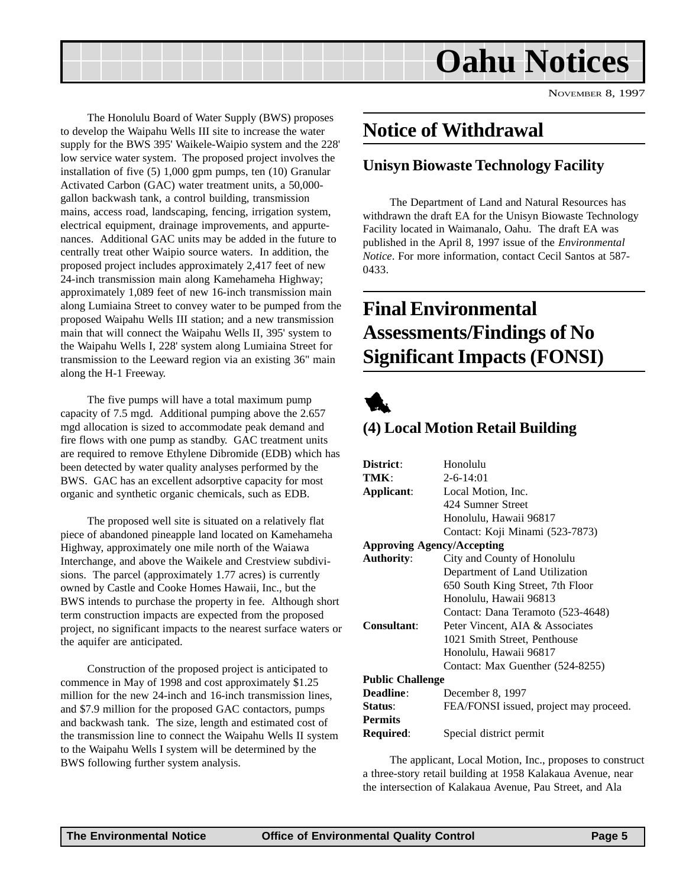<span id="page-4-0"></span>

The Honolulu Board of Water Supply (BWS) proposes to develop the Waipahu Wells III site to increase the water supply for the BWS 395' Waikele-Waipio system and the 228' low service water system. The proposed project involves the installation of five (5) 1,000 gpm pumps, ten (10) Granular Activated Carbon (GAC) water treatment units, a 50,000 gallon backwash tank, a control building, transmission mains, access road, landscaping, fencing, irrigation system, electrical equipment, drainage improvements, and appurtenances. Additional GAC units may be added in the future to centrally treat other Waipio source waters. In addition, the proposed project includes approximately 2,417 feet of new 24-inch transmission main along Kamehameha Highway; approximately 1,089 feet of new 16-inch transmission main along Lumiaina Street to convey water to be pumped from the proposed Waipahu Wells III station; and a new transmission main that will connect the Waipahu Wells II, 395' system to the Waipahu Wells I, 228' system along Lumiaina Street for transmission to the Leeward region via an existing 36" main along the H-1 Freeway.

The five pumps will have a total maximum pump capacity of 7.5 mgd. Additional pumping above the 2.657 mgd allocation is sized to accommodate peak demand and fire flows with one pump as standby. GAC treatment units are required to remove Ethylene Dibromide (EDB) which has been detected by water quality analyses performed by the BWS. GAC has an excellent adsorptive capacity for most organic and synthetic organic chemicals, such as EDB.

The proposed well site is situated on a relatively flat piece of abandoned pineapple land located on Kamehameha Highway, approximately one mile north of the Waiawa Interchange, and above the Waikele and Crestview subdivisions. The parcel (approximately 1.77 acres) is currently owned by Castle and Cooke Homes Hawaii, Inc., but the BWS intends to purchase the property in fee. Although short term construction impacts are expected from the proposed project, no significant impacts to the nearest surface waters or the aquifer are anticipated.

Construction of the proposed project is anticipated to commence in May of 1998 and cost approximately \$1.25 million for the new 24-inch and 16-inch transmission lines, and \$7.9 million for the proposed GAC contactors, pumps and backwash tank. The size, length and estimated cost of the transmission line to connect the Waipahu Wells II system to the Waipahu Wells I system will be determined by the BWS following further system analysis.

## **Notice of Withdrawal**

#### **Unisyn Biowaste Technology Facility**

The Department of Land and Natural Resources has withdrawn the draft EA for the Unisyn Biowaste Technology Facility located in Waimanalo, Oahu. The draft EA was published in the April 8, 1997 issue of the *Environmental Notice*. For more information, contact Cecil Santos at 587- 0433.

# **Final Environmental Assessments/Findings of No Significant Impacts (FONSI)**



#### **(4) Local Motion Retail Building**

| District:                         | Honolulu                               |
|-----------------------------------|----------------------------------------|
| TMK:                              | $2 - 6 - 14:01$                        |
| Applicant:                        | Local Motion, Inc.                     |
|                                   | 424 Sumner Street                      |
|                                   | Honolulu, Hawaii 96817                 |
|                                   | Contact: Koji Minami (523-7873)        |
| <b>Approving Agency/Accepting</b> |                                        |
| <b>Authority:</b>                 | City and County of Honolulu            |
|                                   | Department of Land Utilization         |
|                                   | 650 South King Street, 7th Floor       |
|                                   | Honolulu, Hawaii 96813                 |
|                                   | Contact: Dana Teramoto (523-4648)      |
| Consultant:                       | Peter Vincent, AIA & Associates        |
|                                   | 1021 Smith Street, Penthouse           |
|                                   | Honolulu, Hawaii 96817                 |
|                                   | Contact: Max Guenther (524-8255)       |
| <b>Public Challenge</b>           |                                        |
| <b>Deadline:</b>                  | December 8, 1997                       |
| Status:                           | FEA/FONSI issued, project may proceed. |
| <b>Permits</b>                    |                                        |
| Required:                         | Special district permit                |

The applicant, Local Motion, Inc., proposes to construct a three-story retail building at 1958 Kalakaua Avenue, near the intersection of Kalakaua Avenue, Pau Street, and Ala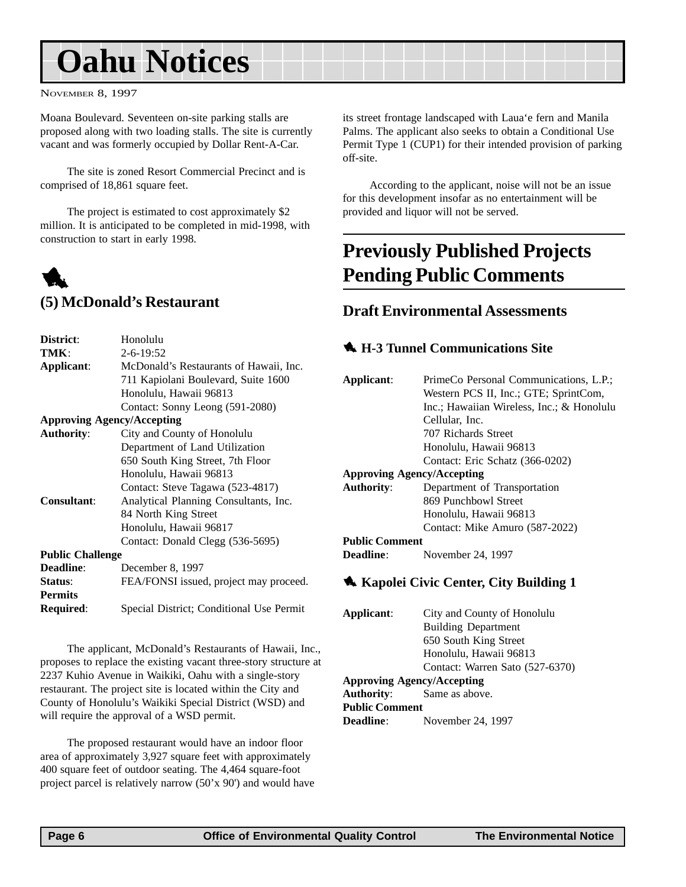# <span id="page-5-0"></span>**Oahu Notices**

NOVEMBER 8, 1997

Moana Boulevard. Seventeen on-site parking stalls are proposed along with two loading stalls. The site is currently vacant and was formerly occupied by Dollar Rent-A-Car.

The site is zoned Resort Commercial Precinct and is comprised of 18,861 square feet.

The project is estimated to cost approximately \$2 million. It is anticipated to be completed in mid-1998, with construction to start in early 1998.

# 1

#### **(5) McDonald's Restaurant**

| District:                         | Honolulu                                 |
|-----------------------------------|------------------------------------------|
| TMK:                              | $2 - 6 - 19:52$                          |
| Applicant:                        | McDonald's Restaurants of Hawaii, Inc.   |
|                                   | 711 Kapiolani Boulevard, Suite 1600      |
|                                   | Honolulu, Hawaii 96813                   |
|                                   | Contact: Sonny Leong (591-2080)          |
| <b>Approving Agency/Accepting</b> |                                          |
| <b>Authority:</b>                 | City and County of Honolulu              |
|                                   | Department of Land Utilization           |
|                                   | 650 South King Street, 7th Floor         |
|                                   | Honolulu, Hawaii 96813                   |
|                                   | Contact: Steve Tagawa (523-4817)         |
| <b>Consultant:</b>                | Analytical Planning Consultants, Inc.    |
|                                   | 84 North King Street                     |
|                                   | Honolulu, Hawaii 96817                   |
|                                   | Contact: Donald Clegg (536-5695)         |
| <b>Public Challenge</b>           |                                          |
| <b>Deadline:</b>                  | December 8, 1997                         |
| Status:                           | FEA/FONSI issued, project may proceed.   |
| <b>Permits</b>                    |                                          |
| Required:                         | Special District; Conditional Use Permit |
|                                   |                                          |

The applicant, McDonald's Restaurants of Hawaii, Inc., proposes to replace the existing vacant three-story structure at 2237 Kuhio Avenue in Waikiki, Oahu with a single-story restaurant. The project site is located within the City and County of Honolulu's Waikiki Special District (WSD) and will require the approval of a WSD permit.

The proposed restaurant would have an indoor floor area of approximately 3,927 square feet with approximately 400 square feet of outdoor seating. The 4,464 square-foot project parcel is relatively narrow (50'x 90') and would have its street frontage landscaped with Laua'e fern and Manila Palms. The applicant also seeks to obtain a Conditional Use Permit Type 1 (CUP1) for their intended provision of parking off-site.

According to the applicant, noise will not be an issue for this development insofar as no entertainment will be provided and liquor will not be served.

## **Previously Published Projects Pending Public Comments**

#### **Draft Environmental Assessments**

#### **4. H-3 Tunnel Communications Site**

| Applicant:                        | PrimeCo Personal Communications, L.P.;    |
|-----------------------------------|-------------------------------------------|
|                                   | Western PCS II, Inc.; GTE; SprintCom,     |
|                                   | Inc.; Hawaiian Wireless, Inc.; & Honolulu |
|                                   | Cellular, Inc.                            |
|                                   | 707 Richards Street                       |
|                                   | Honolulu, Hawaii 96813                    |
|                                   | Contact: Eric Schatz (366-0202)           |
| <b>Approving Agency/Accepting</b> |                                           |
| Authority:                        | Department of Transportation              |
|                                   | 869 Punchbowl Street                      |
|                                   | Honolulu, Hawaii 96813                    |
|                                   | Contact: Mike Amuro (587-2022)            |
| <b>Public Comment</b>             |                                           |
| <b>Deadline:</b>                  | November 24, 1997                         |
|                                   |                                           |

#### **1 Kapolei Civic Center, City Building 1**

| Applicant:                        | City and County of Honolulu     |  |
|-----------------------------------|---------------------------------|--|
|                                   | <b>Building Department</b>      |  |
|                                   | 650 South King Street           |  |
|                                   | Honolulu, Hawaii 96813          |  |
|                                   | Contact: Warren Sato (527-6370) |  |
| <b>Approving Agency/Accepting</b> |                                 |  |
| <b>Authority:</b>                 | Same as above.                  |  |
| <b>Public Comment</b>             |                                 |  |
| Deadline:                         | November 24, 1997               |  |
|                                   |                                 |  |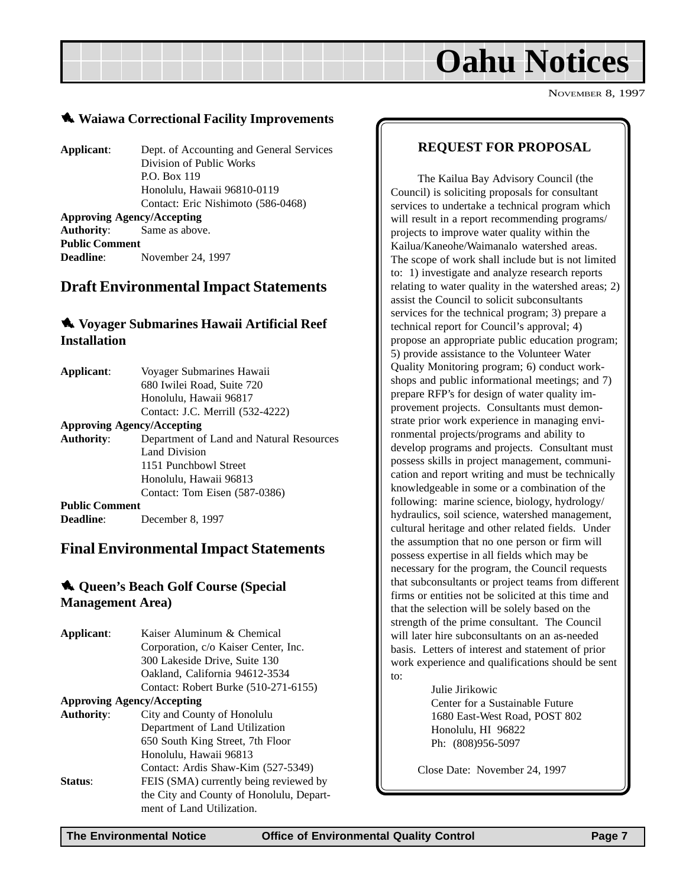# **Oahu Notices**

NOVEMBER 8, 1997

#### <span id="page-6-0"></span>1 **Waiawa Correctional Facility Improvements**

**Applicant**: Dept. of Accounting and General Services Division of Public Works P.O. Box 119 Honolulu, Hawaii 96810-0119 Contact: Eric Nishimoto (586-0468) **Approving Agency/Accepting Authority**: Same as above. **Public Comment**

**Deadline**: November 24, 1997

#### **Draft Environmental Impact Statements**

#### 1 **Voyager Submarines Hawaii Artificial Reef Installation**

| Applicant:                        | Voyager Submarines Hawaii                |
|-----------------------------------|------------------------------------------|
|                                   | 680 Iwilei Road, Suite 720               |
|                                   | Honolulu, Hawaii 96817                   |
|                                   | Contact: J.C. Merrill (532-4222)         |
| <b>Approving Agency/Accepting</b> |                                          |
| <b>Authority:</b>                 | Department of Land and Natural Resources |
|                                   | Land Division                            |
|                                   | 1151 Punchbowl Street                    |
|                                   | Honolulu, Hawaii 96813                   |
|                                   | Contact: Tom Eisen (587-0386)            |
| <b>Public Comment</b>             |                                          |
| Deadline:                         | December 8, 1997                         |

#### **Final Environmental Impact Statements**

#### **4. Oueen's Beach Golf Course (Special Management Area)**

| Applicant:        | Kaiser Aluminum & Chemical               |
|-------------------|------------------------------------------|
|                   | Corporation, c/o Kaiser Center, Inc.     |
|                   | 300 Lakeside Drive, Suite 130            |
|                   | Oakland, California 94612-3534           |
|                   | Contact: Robert Burke (510-271-6155)     |
|                   | <b>Approving Agency/Accepting</b>        |
| <b>Authority:</b> | City and County of Honolulu              |
|                   | Department of Land Utilization           |
|                   | 650 South King Street, 7th Floor         |
|                   | Honolulu, Hawaii 96813                   |
|                   | Contact: Ardis Shaw-Kim (527-5349)       |
| <b>Status:</b>    | FEIS (SMA) currently being reviewed by   |
|                   | the City and County of Honolulu, Depart- |
|                   | ment of Land Utilization.                |

#### **REQUEST FOR PROPOSAL**

The Kailua Bay Advisory Council (the Council) is soliciting proposals for consultant services to undertake a technical program which will result in a report recommending programs/ projects to improve water quality within the Kailua/Kaneohe/Waimanalo watershed areas. The scope of work shall include but is not limited to: 1) investigate and analyze research reports relating to water quality in the watershed areas; 2) assist the Council to solicit subconsultants services for the technical program; 3) prepare a technical report for Council's approval; 4) propose an appropriate public education program; 5) provide assistance to the Volunteer Water Quality Monitoring program; 6) conduct workshops and public informational meetings; and 7) prepare RFP's for design of water quality improvement projects. Consultants must demonstrate prior work experience in managing environmental projects/programs and ability to develop programs and projects. Consultant must possess skills in project management, communication and report writing and must be technically knowledgeable in some or a combination of the following: marine science, biology, hydrology/ hydraulics, soil science, watershed management, cultural heritage and other related fields. Under the assumption that no one person or firm will possess expertise in all fields which may be necessary for the program, the Council requests that subconsultants or project teams from different firms or entities not be solicited at this time and that the selection will be solely based on the strength of the prime consultant. The Council will later hire subconsultants on an as-needed basis. Letters of interest and statement of prior work experience and qualifications should be sent to:

Julie Jirikowic Center for a Sustainable Future 1680 East-West Road, POST 802 Honolulu, HI 96822 Ph: (808)956-5097

Close Date: November 24, 1997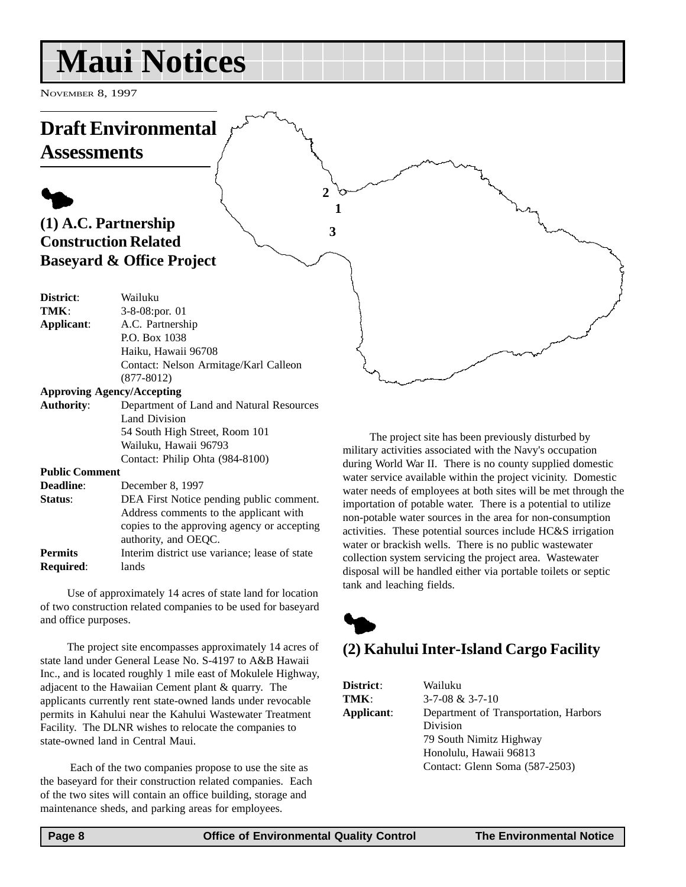# <span id="page-7-0"></span>**Maui Notices**

NOVEMBER 8, 1997

#### **Draft Environmental Assessments**  $\blacklozenge$ **(1) A.C. Partnership Construction Related Baseyard & Office Project District**: Wailuku **TMK**: 3-8-08:por. 01 **Applicant**: A.C. Partnership P.O. Box 1038 Haiku, Hawaii 96708 Contact: Nelson Armitage/Karl Calleon (877-8012) **Approving Agency/Accepting Authority**: Department of Land and Natural Resources **1 2 3**

Land Division 54 South High Street, Room 101 Wailuku, Hawaii 96793 Contact: Philip Ohta (984-8100) **Public Comment**

| <b>Deadline:</b> | December 8, 1997                              |
|------------------|-----------------------------------------------|
| <b>Status:</b>   | DEA First Notice pending public comment.      |
|                  | Address comments to the applicant with        |
|                  | copies to the approving agency or accepting   |
|                  | authority, and OEQC.                          |
| Permits          | Interim district use variance; lease of state |
| <b>Required:</b> | lands                                         |

Use of approximately 14 acres of state land for location of two construction related companies to be used for baseyard and office purposes.

The project site encompasses approximately 14 acres of state land under General Lease No. S-4197 to A&B Hawaii Inc., and is located roughly 1 mile east of Mokulele Highway, adjacent to the Hawaiian Cement plant & quarry. The applicants currently rent state-owned lands under revocable permits in Kahului near the Kahului Wastewater Treatment Facility. The DLNR wishes to relocate the companies to state-owned land in Central Maui.

 Each of the two companies propose to use the site as the baseyard for their construction related companies. Each of the two sites will contain an office building, storage and maintenance sheds, and parking areas for employees.

The project site has been previously disturbed by military activities associated with the Navy's occupation during World War II. There is no county supplied domestic water service available within the project vicinity. Domestic water needs of employees at both sites will be met through the importation of potable water. There is a potential to utilize non-potable water sources in the area for non-consumption activities. These potential sources include HC&S irrigation water or brackish wells. There is no public wastewater collection system servicing the project area. Wastewater disposal will be handled either via portable toilets or septic tank and leaching fields.



## **(2) Kahului Inter-Island Cargo Facility**

| District:        |
|------------------|
| TMK :            |
| <b>Applicant</b> |
|                  |

**District**: Wailuku **TMK**: 3-7-08 & 3-7-10 **t:** Department of Transportation, Harbors Division 79 South Nimitz Highway Honolulu, Hawaii 96813 Contact: Glenn Soma (587-2503)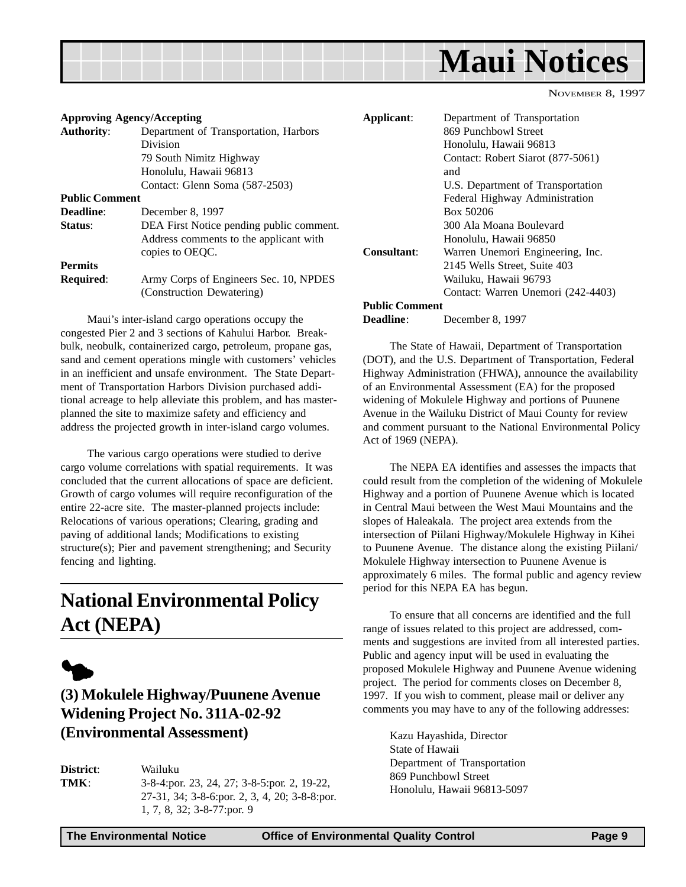<span id="page-8-0"></span>

|  |  |  |  |  |  |  |  |  |  |  |  | <b>Maui Notices</b> |  |
|--|--|--|--|--|--|--|--|--|--|--|--|---------------------|--|
|  |  |  |  |  |  |  |  |  |  |  |  |                     |  |

| <b>Approving Agency/Accepting</b> |                                          | Applicant:            | Department of Transportation      |
|-----------------------------------|------------------------------------------|-----------------------|-----------------------------------|
| <b>Authority:</b>                 | Department of Transportation, Harbors    |                       | 869 Punchbowl Street              |
|                                   | <b>Division</b>                          |                       | Honolulu, Hawaii 96813            |
|                                   | 79 South Nimitz Highway                  |                       | Contact: Robert Siarot (877-5061) |
|                                   | Honolulu, Hawaii 96813                   |                       | and                               |
|                                   | Contact: Glenn Soma (587-2503)           |                       | U.S. Department of Transportation |
| <b>Public Comment</b>             |                                          |                       | Federal Highway Administration    |
| Deadline:                         | December 8, 1997                         |                       | Box 50206                         |
| Status:                           | DEA First Notice pending public comment. |                       | 300 Ala Moana Boulevard           |
|                                   | Address comments to the applicant with   |                       | Honolulu, Hawaii 96850            |
|                                   | copies to OEQC.                          | Consultant:           | Warren Unemori Engineering, Inc.  |
| <b>Permits</b>                    |                                          |                       | 2145 Wells Street, Suite 403      |
| <b>Required:</b>                  | Army Corps of Engineers Sec. 10, NPDES   |                       | Wailuku, Hawaii 96793             |
|                                   | (Construction Dewatering)                |                       | Contact: Warren Unemori (242-44   |
|                                   |                                          | <b>Public Comment</b> |                                   |

Maui's inter-island cargo operations occupy the congested Pier 2 and 3 sections of Kahului Harbor. Breakbulk, neobulk, containerized cargo, petroleum, propane gas, sand and cement operations mingle with customers' vehicles in an inefficient and unsafe environment. The State Department of Transportation Harbors Division purchased additional acreage to help alleviate this problem, and has masterplanned the site to maximize safety and efficiency and address the projected growth in inter-island cargo volumes.

The various cargo operations were studied to derive cargo volume correlations with spatial requirements. It was concluded that the current allocations of space are deficient. Growth of cargo volumes will require reconfiguration of the entire 22-acre site. The master-planned projects include: Relocations of various operations; Clearing, grading and paving of additional lands; Modifications to existing structure(s); Pier and pavement strengthening; and Security fencing and lighting.

# **National Environmental Policy Act (NEPA)**



#### **(3) Mokulele Highway/Puunene Avenue Widening Project No. 311A-02-92 (Environmental Assessment)**

**District**: Wailuku **TMK**: 3-8-4:por. 23, 24, 27; 3-8-5:por. 2, 19-22, 27-31, 34; 3-8-6:por. 2, 3, 4, 20; 3-8-8:por. 1, 7, 8, 32; 3-8-77:por. 9

**Consultant**: Warren Unemori Engineering, Inc. Contact: Warren Unemori (242-4403) **Deadline**: December 8, 1997 The State of Hawaii, Department of Transportation (DOT), and the U.S. Department of Transportation, Federal Highway Administration (FHWA), announce the availability of an Environmental Assessment (EA) for the proposed

widening of Mokulele Highway and portions of Puunene Avenue in the Wailuku District of Maui County for review and comment pursuant to the National Environmental Policy Act of 1969 (NEPA).

The NEPA EA identifies and assesses the impacts that could result from the completion of the widening of Mokulele Highway and a portion of Puunene Avenue which is located in Central Maui between the West Maui Mountains and the slopes of Haleakala. The project area extends from the intersection of Piilani Highway/Mokulele Highway in Kihei to Puunene Avenue. The distance along the existing Piilani/ Mokulele Highway intersection to Puunene Avenue is approximately 6 miles. The formal public and agency review period for this NEPA EA has begun.

To ensure that all concerns are identified and the full range of issues related to this project are addressed, comments and suggestions are invited from all interested parties. Public and agency input will be used in evaluating the proposed Mokulele Highway and Puunene Avenue widening project. The period for comments closes on December 8, 1997. If you wish to comment, please mail or deliver any comments you may have to any of the following addresses:

Kazu Hayashida, Director State of Hawaii Department of Transportation 869 Punchbowl Street Honolulu, Hawaii 96813-5097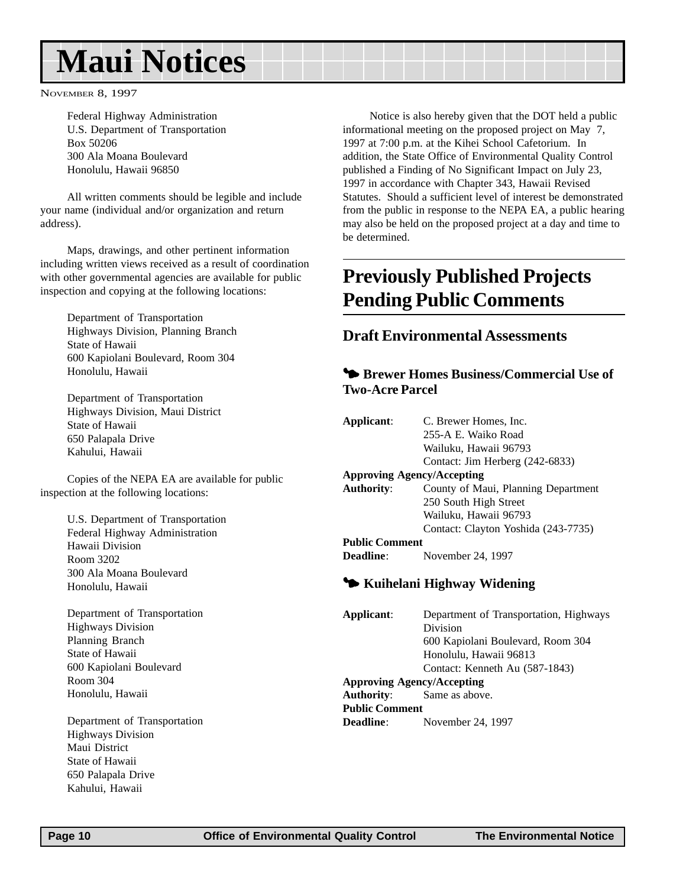# <span id="page-9-0"></span>**Maui Notices**

NOVEMBER 8, 1997

Federal Highway Administration U.S. Department of Transportation Box 50206 300 Ala Moana Boulevard Honolulu, Hawaii 96850

All written comments should be legible and include your name (individual and/or organization and return address).

Maps, drawings, and other pertinent information including written views received as a result of coordination with other governmental agencies are available for public inspection and copying at the following locations:

Department of Transportation Highways Division, Planning Branch State of Hawaii 600 Kapiolani Boulevard, Room 304 Honolulu, Hawaii

Department of Transportation Highways Division, Maui District State of Hawaii 650 Palapala Drive Kahului, Hawaii

Copies of the NEPA EA are available for public inspection at the following locations:

> U.S. Department of Transportation Federal Highway Administration Hawaii Division Room 3202 300 Ala Moana Boulevard Honolulu, Hawaii

Department of Transportation Highways Division Planning Branch State of Hawaii 600 Kapiolani Boulevard Room 304 Honolulu, Hawaii

Department of Transportation Highways Division Maui District State of Hawaii 650 Palapala Drive Kahului, Hawaii

Notice is also hereby given that the DOT held a public informational meeting on the proposed project on May 7, 1997 at 7:00 p.m. at the Kihei School Cafetorium. In addition, the State Office of Environmental Quality Control published a Finding of No Significant Impact on July 23, 1997 in accordance with Chapter 343, Hawaii Revised Statutes. Should a sufficient level of interest be demonstrated from the public in response to the NEPA EA, a public hearing may also be held on the proposed project at a day and time to be determined.

## **Previously Published Projects Pending Public Comments**

#### **Draft Environmental Assessments**

#### 3 **Brewer Homes Business/Commercial Use of Two-Acre Parcel**

| Applicant:            | C. Brewer Homes, Inc.               |
|-----------------------|-------------------------------------|
|                       | 255-A E. Waiko Road                 |
|                       | Wailuku, Hawaii 96793               |
|                       | Contact: Jim Herberg (242-6833)     |
|                       | <b>Approving Agency/Accepting</b>   |
| Authority:            | County of Maui, Planning Department |
|                       | 250 South High Street               |
|                       | Wailuku, Hawaii 96793               |
|                       | Contact: Clayton Yoshida (243-7735) |
| <b>Public Comment</b> |                                     |
| <b>Deadline:</b>      | November 24, 1997                   |

#### 3 **Kuihelani Highway Widening**

**Applicant**: Department of Transportation, Highways Division 600 Kapiolani Boulevard, Room 304 Honolulu, Hawaii 96813 Contact: Kenneth Au (587-1843) **Approving Agency/Accepting Authority**: Same as above. **Public Comment Deadline**: November 24, 1997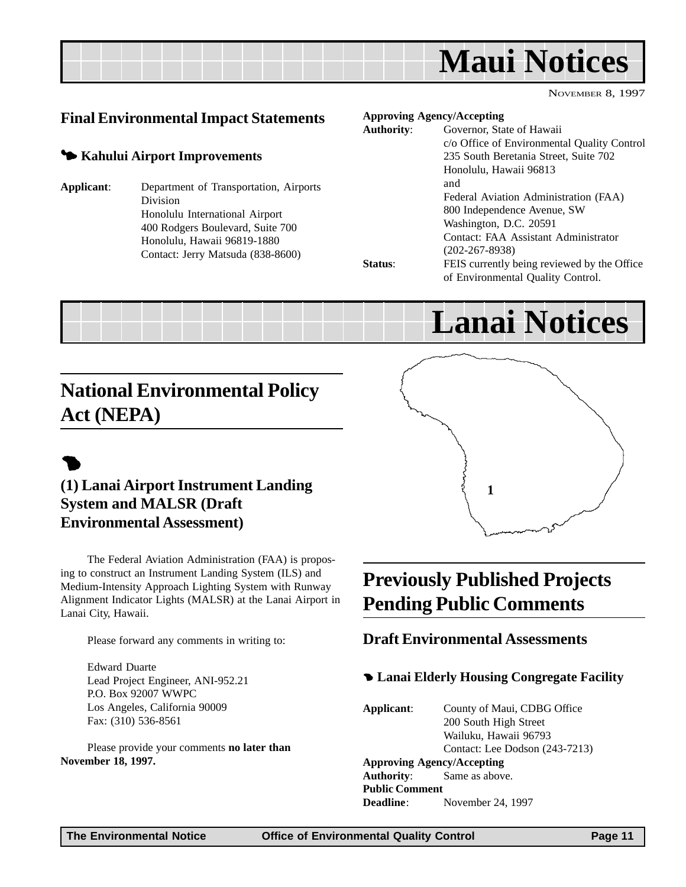<span id="page-10-0"></span>

#### **Final Environmental Impact Statements**

#### 3 **Kahului Airport Improvements**

**Applicant**: Department of Transportation, Airports Division Honolulu International Airport 400 Rodgers Boulevard, Suite 700 Honolulu, Hawaii 96819-1880 Contact: Jerry Matsuda (838-8600)

#### **Approving Agency/Accepting**

| <b>Authority:</b> | Governor, State of Hawaii                   |
|-------------------|---------------------------------------------|
|                   | c/o Office of Environmental Quality Control |
|                   | 235 South Beretania Street, Suite 702       |
|                   | Honolulu, Hawaii 96813                      |
|                   | and                                         |
|                   | Federal Aviation Administration (FAA)       |
|                   | 800 Independence Avenue, SW                 |
|                   | Washington, D.C. 20591                      |
|                   | Contact: FAA Assistant Administrator        |
|                   | $(202 - 267 - 8938)$                        |
| Status:           | FEIS currently being reviewed by the Office |
|                   | of Environmental Quality Control.           |

# **Lanai Notices**

## **National Environmental Policy Act (NEPA)**

# $\bullet$

#### **(1) Lanai Airport Instrument Landing System and MALSR (Draft Environmental Assessment)**

The Federal Aviation Administration (FAA) is proposing to construct an Instrument Landing System (ILS) and Medium-Intensity Approach Lighting System with Runway Alignment Indicator Lights (MALSR) at the Lanai Airport in Lanai City, Hawaii.

Please forward any comments in writing to:

Edward Duarte Lead Project Engineer, ANI-952.21 P.O. Box 92007 WWPC Los Angeles, California 90009 Fax: (310) 536-8561

Please provide your comments **no later than November 18, 1997.**

# **1**

# **Previously Published Projects Pending Public Comments**

#### **Draft Environmental Assessments**

#### 4 **Lanai Elderly Housing Congregate Facility**

**Applicant**: County of Maui, CDBG Office 200 South High Street Wailuku, Hawaii 96793 Contact: Lee Dodson (243-7213) **Approving Agency/Accepting Authority**: Same as above. **Public Comment Deadline**: November 24, 1997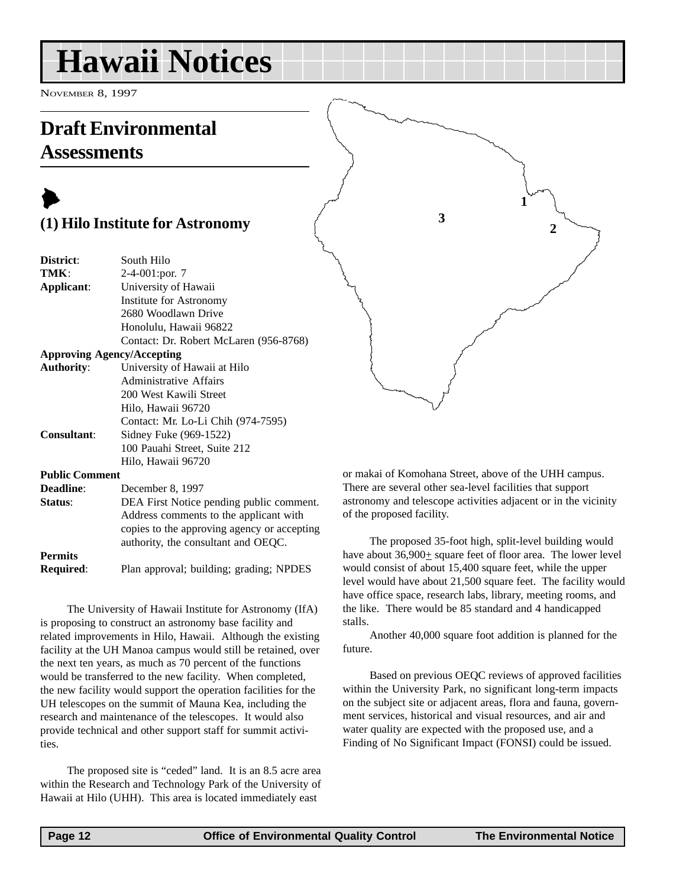# <span id="page-11-0"></span>**Hawaii Notices**

NOVEMBER 8, 1997

## **Draft Environmental Assessments**



| District:             | South Hilo                                                                                                      |  |  |  |  |  |  |
|-----------------------|-----------------------------------------------------------------------------------------------------------------|--|--|--|--|--|--|
| TMK:                  | 2-4-001:por. 7                                                                                                  |  |  |  |  |  |  |
| Applicant:            | University of Hawaii                                                                                            |  |  |  |  |  |  |
|                       | Institute for Astronomy                                                                                         |  |  |  |  |  |  |
|                       | 2680 Woodlawn Drive                                                                                             |  |  |  |  |  |  |
|                       | Honolulu, Hawaii 96822                                                                                          |  |  |  |  |  |  |
|                       | Contact: Dr. Robert McLaren (956-8768)                                                                          |  |  |  |  |  |  |
|                       | <b>Approving Agency/Accepting</b>                                                                               |  |  |  |  |  |  |
| <b>Authority:</b>     | University of Hawaii at Hilo                                                                                    |  |  |  |  |  |  |
|                       | Administrative Affairs                                                                                          |  |  |  |  |  |  |
|                       | 200 West Kawili Street                                                                                          |  |  |  |  |  |  |
|                       | Hilo, Hawaii 96720                                                                                              |  |  |  |  |  |  |
|                       | Contact: Mr. Lo-Li Chih (974-7595)                                                                              |  |  |  |  |  |  |
| <b>Consultant:</b>    | Sidney Fuke (969-1522)                                                                                          |  |  |  |  |  |  |
|                       | 100 Pauahi Street, Suite 212                                                                                    |  |  |  |  |  |  |
|                       | Hilo, Hawaii 96720                                                                                              |  |  |  |  |  |  |
| <b>Public Comment</b> |                                                                                                                 |  |  |  |  |  |  |
| <b>Deadline:</b>      | December 8, 1997                                                                                                |  |  |  |  |  |  |
| Status:               | DEA First Notice pending public comment.                                                                        |  |  |  |  |  |  |
|                       | the contract of the contract of the contract of the contract of the contract of the contract of the contract of |  |  |  |  |  |  |

Address comments to the applicant with copies to the approving agency or accepting authority, the consultant and OEQC. **Permits**

**Required**: Plan approval; building; grading; NPDES

The University of Hawaii Institute for Astronomy (IfA) is proposing to construct an astronomy base facility and related improvements in Hilo, Hawaii. Although the existing facility at the UH Manoa campus would still be retained, over the next ten years, as much as 70 percent of the functions would be transferred to the new facility. When completed, the new facility would support the operation facilities for the UH telescopes on the summit of Mauna Kea, including the research and maintenance of the telescopes. It would also provide technical and other support staff for summit activities.

The proposed site is "ceded" land. It is an 8.5 acre area within the Research and Technology Park of the University of Hawaii at Hilo (UHH). This area is located immediately east

or makai of Komohana Street, above of the UHH campus. There are several other sea-level facilities that support astronomy and telescope activities adjacent or in the vicinity of the proposed facility.

**1**

**3**

**2**

The proposed 35-foot high, split-level building would have about  $36,900<sub>±</sub>$  square feet of floor area. The lower level would consist of about 15,400 square feet, while the upper level would have about 21,500 square feet. The facility would have office space, research labs, library, meeting rooms, and the like. There would be 85 standard and 4 handicapped stalls.

Another 40,000 square foot addition is planned for the future.

Based on previous OEQC reviews of approved facilities within the University Park, no significant long-term impacts on the subject site or adjacent areas, flora and fauna, government services, historical and visual resources, and air and water quality are expected with the proposed use, and a Finding of No Significant Impact (FONSI) could be issued.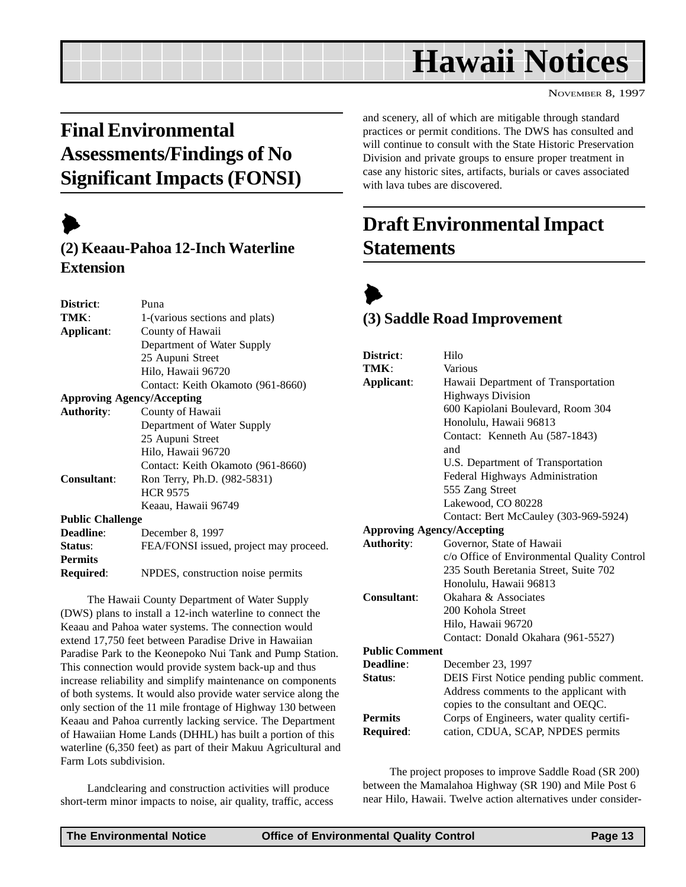# **Hawaii Notices**

NOVEMBER 8, 1997

# <span id="page-12-0"></span>**Final Environmental Assessments/Findings of No Significant Impacts (FONSI)**

# $\blacktriangleright$

#### **(2) Keaau-Pahoa 12-Inch Waterline Extension**

| District:                         | Puna                                   |
|-----------------------------------|----------------------------------------|
| TMK:                              | 1-(various sections and plats)         |
| Applicant:                        | County of Hawaii                       |
|                                   | Department of Water Supply             |
|                                   | 25 Aupuni Street                       |
|                                   | Hilo, Hawaii 96720                     |
|                                   | Contact: Keith Okamoto (961-8660)      |
| <b>Approving Agency/Accepting</b> |                                        |
| <b>Authority:</b>                 | County of Hawaii                       |
|                                   | Department of Water Supply             |
|                                   | 25 Aupuni Street                       |
|                                   | Hilo, Hawaii 96720                     |
|                                   | Contact: Keith Okamoto (961-8660)      |
| <b>Consultant:</b>                | Ron Terry, Ph.D. (982-5831)            |
|                                   | <b>HCR 9575</b>                        |
|                                   | Keaau, Hawaii 96749                    |
| <b>Public Challenge</b>           |                                        |
| Deadline:                         | December 8, 1997                       |
| Status:                           | FEA/FONSI issued, project may proceed. |
| <b>Permits</b>                    |                                        |
| Required:                         | NPDES, construction noise permits      |
|                                   |                                        |

The Hawaii County Department of Water Supply (DWS) plans to install a 12-inch waterline to connect the Keaau and Pahoa water systems. The connection would extend 17,750 feet between Paradise Drive in Hawaiian Paradise Park to the Keonepoko Nui Tank and Pump Station. This connection would provide system back-up and thus increase reliability and simplify maintenance on components of both systems. It would also provide water service along the only section of the 11 mile frontage of Highway 130 between Keaau and Pahoa currently lacking service. The Department of Hawaiian Home Lands (DHHL) has built a portion of this waterline (6,350 feet) as part of their Makuu Agricultural and Farm Lots subdivision.

Landclearing and construction activities will produce short-term minor impacts to noise, air quality, traffic, access and scenery, all of which are mitigable through standard practices or permit conditions. The DWS has consulted and will continue to consult with the State Historic Preservation Division and private groups to ensure proper treatment in case any historic sites, artifacts, burials or caves associated with lava tubes are discovered.

## **Draft Environmental Impact Statements**



#### **(3) Saddle Road Improvement**

| District:                         | Hilo                                        |
|-----------------------------------|---------------------------------------------|
| TMK:                              | Various                                     |
| Applicant:                        | Hawaii Department of Transportation         |
|                                   | <b>Highways Division</b>                    |
|                                   | 600 Kapiolani Boulevard, Room 304           |
|                                   | Honolulu, Hawaii 96813                      |
|                                   | Contact: Kenneth Au (587-1843)              |
|                                   | and                                         |
|                                   | U.S. Department of Transportation           |
|                                   | Federal Highways Administration             |
|                                   | 555 Zang Street                             |
|                                   | Lakewood, CO 80228                          |
|                                   | Contact: Bert McCauley (303-969-5924)       |
| <b>Approving Agency/Accepting</b> |                                             |
| <b>Authority:</b>                 | Governor, State of Hawaii                   |
|                                   | c/o Office of Environmental Quality Control |
|                                   | 235 South Beretania Street, Suite 702       |
|                                   | Honolulu, Hawaii 96813                      |
| Consultant:                       | Okahara & Associates                        |
|                                   | 200 Kohola Street                           |
|                                   | Hilo, Hawaii 96720                          |
|                                   | Contact: Donald Okahara (961-5527)          |
| <b>Public Comment</b>             |                                             |
| Deadline:                         | December 23, 1997                           |
| Status:                           | DEIS First Notice pending public comment.   |
|                                   | Address comments to the applicant with      |
|                                   | copies to the consultant and OEQC.          |
| <b>Permits</b>                    | Corps of Engineers, water quality certifi-  |
| <b>Required:</b>                  | cation, CDUA, SCAP, NPDES permits           |

The project proposes to improve Saddle Road (SR 200) between the Mamalahoa Highway (SR 190) and Mile Post 6 near Hilo, Hawaii. Twelve action alternatives under consider-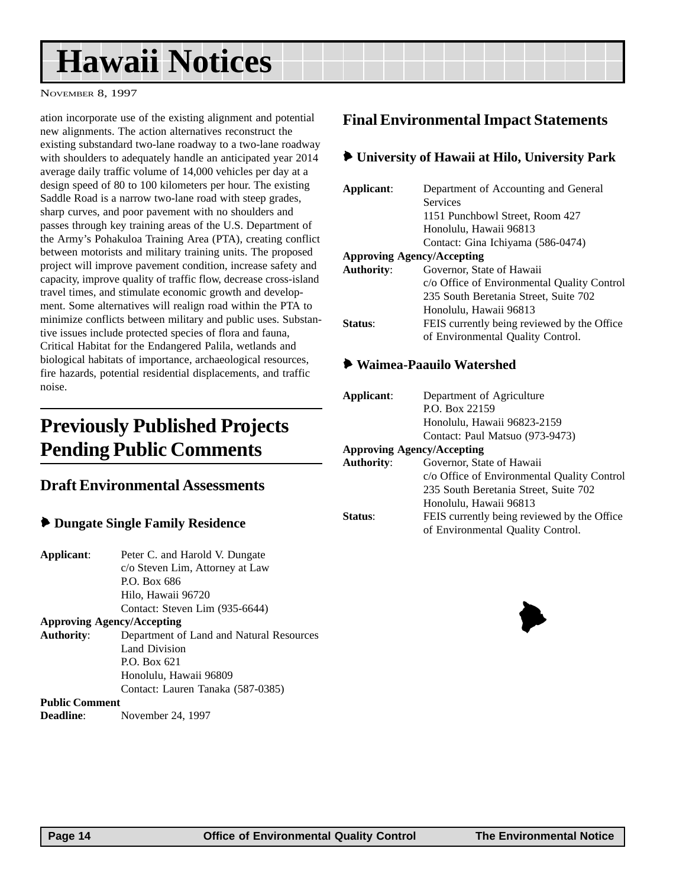# <span id="page-13-0"></span>**Hawaii Notices**

NOVEMBER 8, 1997

ation incorporate use of the existing alignment and potential new alignments. The action alternatives reconstruct the existing substandard two-lane roadway to a two-lane roadway with shoulders to adequately handle an anticipated year 2014 average daily traffic volume of 14,000 vehicles per day at a design speed of 80 to 100 kilometers per hour. The existing Saddle Road is a narrow two-lane road with steep grades, sharp curves, and poor pavement with no shoulders and passes through key training areas of the U.S. Department of the Army's Pohakuloa Training Area (PTA), creating conflict between motorists and military training units. The proposed project will improve pavement condition, increase safety and capacity, improve quality of traffic flow, decrease cross-island travel times, and stimulate economic growth and development. Some alternatives will realign road within the PTA to minimize conflicts between military and public uses. Substantive issues include protected species of flora and fauna, Critical Habitat for the Endangered Palila, wetlands and biological habitats of importance, archaeological resources, fire hazards, potential residential displacements, and traffic noise.

## **Previously Published Projects Pending Public Comments**

#### **Draft Environmental Assessments**

- 6 **Dungate Single Family Residence**
- **Applicant**: Peter C. and Harold V. Dungate c/o Steven Lim, Attorney at Law P.O. Box 686 Hilo, Hawaii 96720
- Contact: Steven Lim (935-6644) **Approving Agency/Accepting Authority**: Department of Land and Natural Resources Land Division P.O. Box 621 Honolulu, Hawaii 96809 Contact: Lauren Tanaka (587-0385)

#### **Public Comment**

**Deadline**: November 24, 1997

#### **Final Environmental Impact Statements**

#### 6 **University of Hawaii at Hilo, University Park**

| Applicant:                        | Department of Accounting and General        |  |  |  |  |
|-----------------------------------|---------------------------------------------|--|--|--|--|
|                                   | <b>Services</b>                             |  |  |  |  |
|                                   | 1151 Punchbowl Street, Room 427             |  |  |  |  |
|                                   | Honolulu, Hawaii 96813                      |  |  |  |  |
|                                   | Contact: Gina Ichiyama (586-0474)           |  |  |  |  |
| <b>Approving Agency/Accepting</b> |                                             |  |  |  |  |
| <b>Authority:</b>                 | Governor, State of Hawaii                   |  |  |  |  |
|                                   | c/o Office of Environmental Quality Control |  |  |  |  |
|                                   | 235 South Beretania Street, Suite 702       |  |  |  |  |
|                                   | Honolulu, Hawaii 96813                      |  |  |  |  |
| Status:                           | FEIS currently being reviewed by the Office |  |  |  |  |
|                                   | of Environmental Quality Control.           |  |  |  |  |

#### 6 **Waimea-Paauilo Watershed**

| Applicant:        | Department of Agriculture                   |
|-------------------|---------------------------------------------|
|                   | P.O. Box 22159                              |
|                   | Honolulu, Hawaii 96823-2159                 |
|                   | Contact: Paul Matsuo (973-9473)             |
|                   | <b>Approving Agency/Accepting</b>           |
| <b>Authority:</b> | Governor, State of Hawaii                   |
|                   | c/o Office of Environmental Quality Control |
|                   | 235 South Beretania Street, Suite 702       |
|                   | Honolulu, Hawaii 96813                      |
| <b>Status:</b>    | FEIS currently being reviewed by the Office |
|                   | of Environmental Quality Control.           |
|                   |                                             |

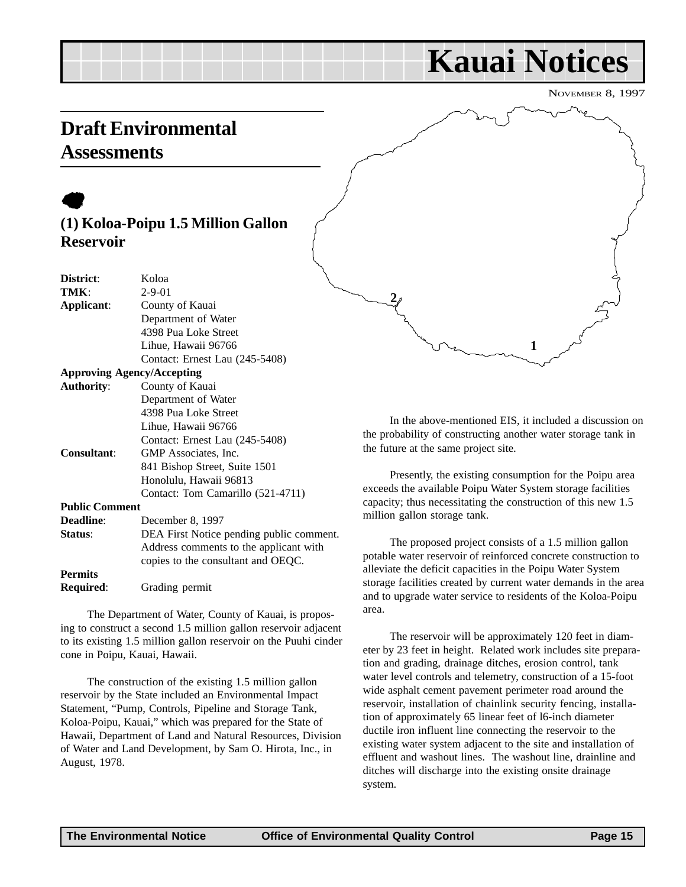# **Kauai Notices**

NOVEMBER 8, 1997

## <span id="page-14-0"></span>**Draft Environmental Assessments**

## $\bullet$ **(1) Koloa-Poipu 1.5 Million Gallon Reservoir**

| District:                         | Koloa                                    |
|-----------------------------------|------------------------------------------|
| TMK:                              | $2 - 9 - 01$                             |
| Applicant:                        | County of Kauai                          |
|                                   | Department of Water                      |
|                                   | 4398 Pua Loke Street                     |
|                                   | Lihue, Hawaii 96766                      |
|                                   | Contact: Ernest Lau (245-5408)           |
| <b>Approving Agency/Accepting</b> |                                          |
| <b>Authority:</b>                 | County of Kauai                          |
|                                   | Department of Water                      |
|                                   | 4398 Pua Loke Street                     |
|                                   | Lihue, Hawaii 96766                      |
|                                   | Contact: Ernest Lau (245-5408)           |
| <b>Consultant:</b>                | GMP Associates, Inc.                     |
|                                   | 841 Bishop Street, Suite 1501            |
|                                   | Honolulu, Hawaii 96813                   |
|                                   | Contact: Tom Camarillo (521-4711)        |
| <b>Public Comment</b>             |                                          |
| <b>Deadline:</b>                  | December 8, 1997                         |
| Status:                           | DEA First Notice pending public comment. |
|                                   | Address comments to the applicant with   |
|                                   | copies to the consultant and OEQC.       |
| <b>Permits</b>                    |                                          |
| Required:                         | Grading permit                           |

The Department of Water, County of Kauai, is proposing to construct a second 1.5 million gallon reservoir adjacent to its existing 1.5 million gallon reservoir on the Puuhi cinder cone in Poipu, Kauai, Hawaii.

The construction of the existing 1.5 million gallon reservoir by the State included an Environmental Impact Statement, "Pump, Controls, Pipeline and Storage Tank, Koloa-Poipu, Kauai," which was prepared for the State of Hawaii, Department of Land and Natural Resources, Division of Water and Land Development, by Sam O. Hirota, Inc., in August, 1978.

In the above-mentioned EIS, it included a discussion on the probability of constructing another water storage tank in the future at the same project site.

**1**

Presently, the existing consumption for the Poipu area exceeds the available Poipu Water System storage facilities capacity; thus necessitating the construction of this new 1.5 million gallon storage tank.

The proposed project consists of a 1.5 million gallon potable water reservoir of reinforced concrete construction to alleviate the deficit capacities in the Poipu Water System storage facilities created by current water demands in the area and to upgrade water service to residents of the Koloa-Poipu area.

The reservoir will be approximately 120 feet in diameter by 23 feet in height. Related work includes site preparation and grading, drainage ditches, erosion control, tank water level controls and telemetry, construction of a 15-foot wide asphalt cement pavement perimeter road around the reservoir, installation of chainlink security fencing, installation of approximately 65 linear feet of l6-inch diameter ductile iron influent line connecting the reservoir to the existing water system adjacent to the site and installation of effluent and washout lines. The washout line, drainline and ditches will discharge into the existing onsite drainage system.

**2**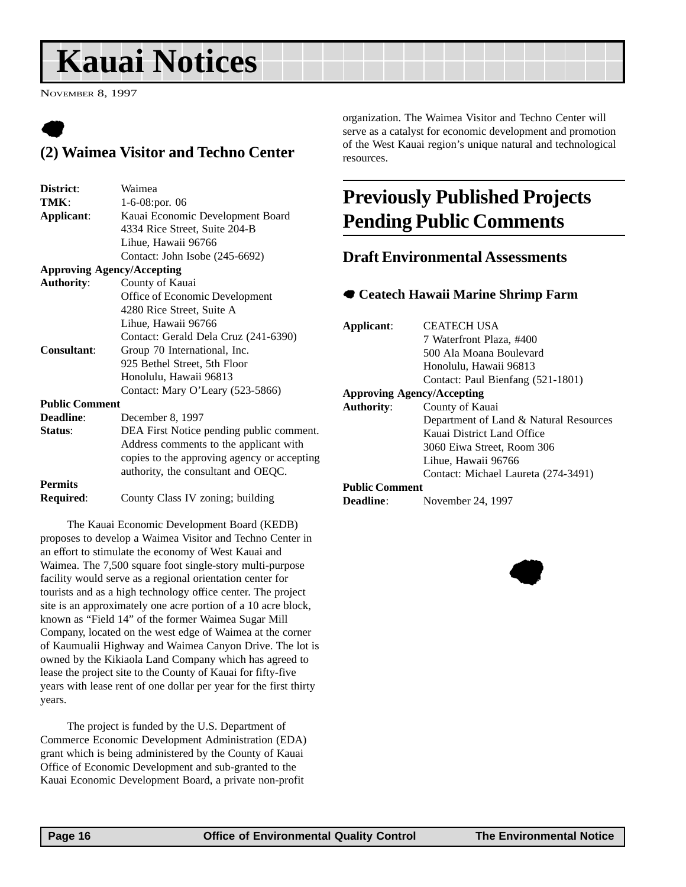# <span id="page-15-0"></span>**Kauai Notices**

NOVEMBER 8, 1997

## $\bullet$ **(2) Waimea Visitor and Techno Center**

| District:             | Waimea                                      |  |  |
|-----------------------|---------------------------------------------|--|--|
| TMK:                  | 1-6-08:por. 06                              |  |  |
| Applicant:            | Kauai Economic Development Board            |  |  |
|                       | 4334 Rice Street, Suite 204-B               |  |  |
|                       | Lihue, Hawaii 96766                         |  |  |
|                       | Contact: John Isobe (245-6692)              |  |  |
|                       | <b>Approving Agency/Accepting</b>           |  |  |
| <b>Authority:</b>     | County of Kauai                             |  |  |
|                       | Office of Economic Development              |  |  |
|                       | 4280 Rice Street, Suite A                   |  |  |
|                       | Lihue, Hawaii 96766                         |  |  |
|                       | Contact: Gerald Dela Cruz (241-6390)        |  |  |
| <b>Consultant:</b>    | Group 70 International, Inc.                |  |  |
|                       | 925 Bethel Street, 5th Floor                |  |  |
|                       | Honolulu, Hawaii 96813                      |  |  |
|                       | Contact: Mary O'Leary (523-5866)            |  |  |
| <b>Public Comment</b> |                                             |  |  |
| <b>Deadline:</b>      | December 8, 1997                            |  |  |
| Status:               | DEA First Notice pending public comment.    |  |  |
|                       | Address comments to the applicant with      |  |  |
|                       | copies to the approving agency or accepting |  |  |
|                       | authority, the consultant and OEQC.         |  |  |
| <b>Permits</b>        |                                             |  |  |
| <b>Required:</b>      | County Class IV zoning; building            |  |  |

The Kauai Economic Development Board (KEDB) proposes to develop a Waimea Visitor and Techno Center in an effort to stimulate the economy of West Kauai and Waimea. The 7,500 square foot single-story multi-purpose facility would serve as a regional orientation center for tourists and as a high technology office center. The project site is an approximately one acre portion of a 10 acre block, known as "Field 14" of the former Waimea Sugar Mill Company, located on the west edge of Waimea at the corner of Kaumualii Highway and Waimea Canyon Drive. The lot is owned by the Kikiaola Land Company which has agreed to lease the project site to the County of Kauai for fifty-five years with lease rent of one dollar per year for the first thirty years.

The project is funded by the U.S. Department of Commerce Economic Development Administration (EDA) grant which is being administered by the County of Kauai Office of Economic Development and sub-granted to the Kauai Economic Development Board, a private non-profit

organization. The Waimea Visitor and Techno Center will serve as a catalyst for economic development and promotion of the West Kauai region's unique natural and technological resources.

## **Previously Published Projects Pending Public Comments**

#### **Draft Environmental Assessments**

#### 7 **Ceatech Hawaii Marine Shrimp Farm**

| Applicant:                           | CEATECH USA                            |  |  |  |
|--------------------------------------|----------------------------------------|--|--|--|
|                                      | 7 Waterfront Plaza, #400               |  |  |  |
|                                      | 500 Ala Moana Boulevard                |  |  |  |
|                                      | Honolulu, Hawaii 96813                 |  |  |  |
|                                      | Contact: Paul Bienfang (521-1801)      |  |  |  |
| <b>Approving Agency/Accepting</b>    |                                        |  |  |  |
| County of Kauai<br><b>Authority:</b> |                                        |  |  |  |
|                                      | Department of Land & Natural Resources |  |  |  |
|                                      | Kauai District Land Office             |  |  |  |
|                                      | 3060 Eiwa Street, Room 306             |  |  |  |
|                                      | Lihue, Hawaii 96766                    |  |  |  |
|                                      | Contact: Michael Laureta (274-3491)    |  |  |  |
| <b>Public Comment</b>                |                                        |  |  |  |

#### **Public Comment**

**Deadline**: November 24, 1997

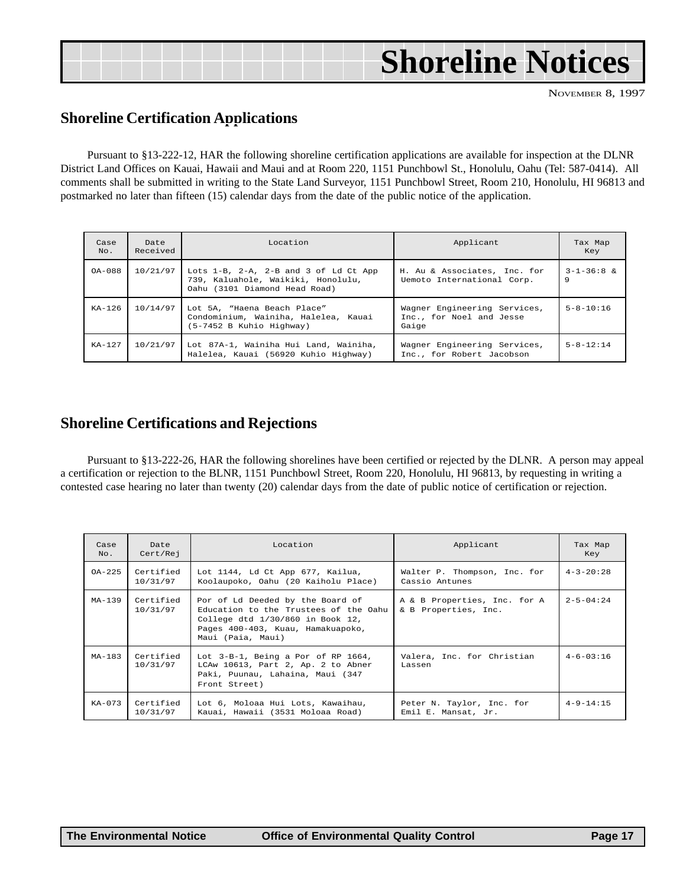|  | <b>Shoreline Notices</b> |
|--|--------------------------|
|  |                          |

#### **Shoreline Certification Applications**

Pursuant to §13-222-12, HAR the following shoreline certification applications are available for inspection at the DLNR District Land Offices on Kauai, Hawaii and Maui and at Room 220, 1151 Punchbowl St., Honolulu, Oahu (Tel: 587-0414). All comments shall be submitted in writing to the State Land Surveyor, 1151 Punchbowl Street, Room 210, Honolulu, HI 96813 and postmarked no later than fifteen (15) calendar days from the date of the public notice of the application.

|             |                  | <b>Dreline Certification Applications</b>                                                                                                                                                                                                                                                                                                                                                                                                                                                 |                                                                   | NOVEMBER 8, 19          |
|-------------|------------------|-------------------------------------------------------------------------------------------------------------------------------------------------------------------------------------------------------------------------------------------------------------------------------------------------------------------------------------------------------------------------------------------------------------------------------------------------------------------------------------------|-------------------------------------------------------------------|-------------------------|
|             |                  | Pursuant to §13-222-12, HAR the following shoreline certification applications are available for inspection at the DLNI<br>rict Land Offices on Kauai, Hawaii and Maui and at Room 220, 1151 Punchbowl St., Honolulu, Oahu (Tel: 587-0414). A<br>a September 210, Honolulu, HI 96813 in writing to the State Land Surveyor, 1151 Punchbowl Street, Room 210, Honolulu, HI 96813<br>marked no later than fifteen (15) calendar days from the date of the public notice of the application. |                                                                   |                         |
| Case<br>No. | Date<br>Received | Location                                                                                                                                                                                                                                                                                                                                                                                                                                                                                  | Applicant                                                         | Tax Map<br>Key          |
| $OA - 088$  | 10/21/97         | Lots 1-B, 2-A, 2-B and 3 of Ld Ct App<br>739, Kaluahole, Waikiki, Honolulu,<br>Oahu (3101 Diamond Head Road)                                                                                                                                                                                                                                                                                                                                                                              | H. Au & Associates, Inc. for<br>Uemoto International Corp.        | $3 - 1 - 36 : 8 &$<br>9 |
| $KA-126$    | 10/14/97         | Lot 5A, "Haena Beach Place"<br>Condominium, Wainiha, Halelea, Kauai<br>(5-7452 B Kuhio Highway)                                                                                                                                                                                                                                                                                                                                                                                           | Wagner Engineering Services,<br>Inc., for Noel and Jesse<br>Gaige | $5 - 8 - 10:16$         |
| $KA-127$    | 10/21/97         | Lot 87A-1, Wainiha Hui Land, Wainiha,<br>Halelea, Kauai (56920 Kuhio Highway)                                                                                                                                                                                                                                                                                                                                                                                                             | Wagner Engineering Services,<br>Inc., for Robert Jacobson         | $5 - 8 - 12:14$         |

#### **Shoreline Certifications and Rejections**

Pursuant to §13-222-26, HAR the following shorelines have been certified or rejected by the DLNR. A person may appeal a certification or rejection to the BLNR, 1151 Punchbowl Street, Room 220, Honolulu, HI 96813, by requesting in writing a contested case hearing no later than twenty (20) calendar days from the date of public notice of certification or rejection.

| Case<br>No. | Date<br>Cert/Rej      | Location                                                                                                                                                                | Applicant                                            | Tax Map<br>Key    |
|-------------|-----------------------|-------------------------------------------------------------------------------------------------------------------------------------------------------------------------|------------------------------------------------------|-------------------|
| $OA - 225$  | Certified<br>10/31/97 | Lot 1144, Ld Ct App 677, Kailua,<br>Koolaupoko, Oahu (20 Kaiholu Place)                                                                                                 | Walter P. Thompson, Inc. for<br>Cassio Antunes       | $4 - 3 - 20:28$   |
| $MA-139$    | Certified<br>10/31/97 | Por of Ld Deeded by the Board of<br>Education to the Trustees of the Oahu<br>College dtd 1/30/860 in Book 12,<br>Pages 400-403, Kuau, Hamakuapoko,<br>Maui (Paia, Maui) | A & B Properties, Inc. for A<br>& B Properties, Inc. | $2 - 5 - 04:24$   |
| $MA-183$    | Certified<br>10/31/97 | Lot 3-B-1, Being a Por of RP 1664,<br>LCAw 10613, Part 2, Ap. 2 to Abner<br>Paki, Puunau, Lahaina, Maui (347<br>Front Street)                                           | Valera, Inc. for Christian<br>Lassen                 | $4 - 6 - 03 : 16$ |
| $KA-073$    | Certified<br>10/31/97 | Lot 6, Moloaa Hui Lots, Kawaihau,<br>Kauai, Hawaii (3531 Moloaa Road)                                                                                                   | Peter N. Taylor, Inc. for<br>Emil E. Mansat, Jr.     | $4 - 9 - 14:15$   |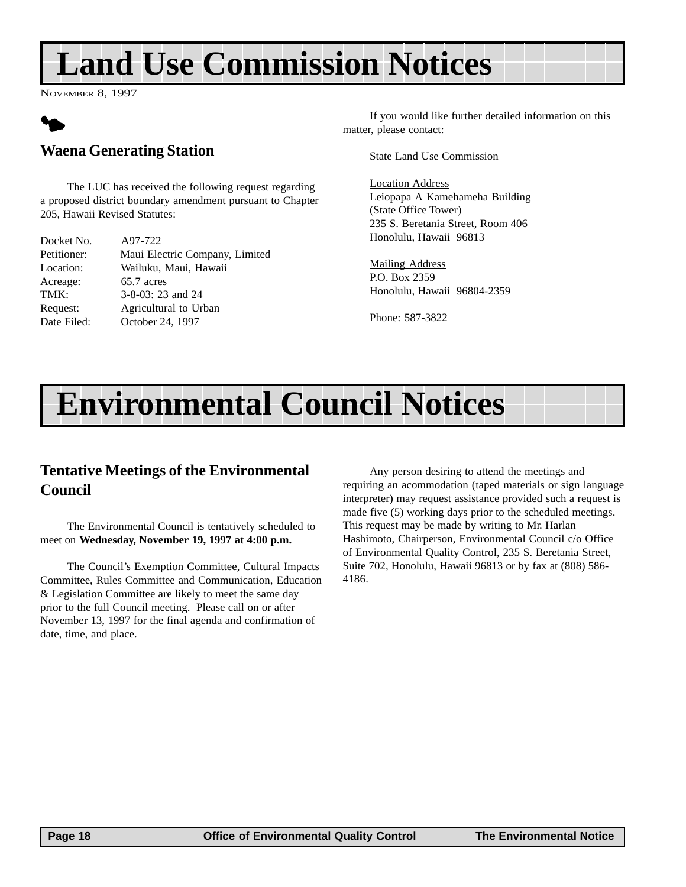# <span id="page-17-0"></span>**Land Use Commission Notices**

NOVEMBER 8, 1997



#### **Waena Generating Station**

The LUC has received the following request regarding a proposed district boundary amendment pursuant to Chapter 205, Hawaii Revised Statutes:

| Docket No.  | A97-722                        |
|-------------|--------------------------------|
| Petitioner: | Maui Electric Company, Limited |
| Location:   | Wailuku, Maui, Hawaii          |
| Acreage:    | 65.7 acres                     |
| TMK:        | 3-8-03: 23 and 24              |
| Request:    | Agricultural to Urban          |
| Date Filed: | October 24, 1997               |

If you would like further detailed information on this matter, please contact:

State Land Use Commission

Location Address Leiopapa A Kamehameha Building (State Office Tower) 235 S. Beretania Street, Room 406 Honolulu, Hawaii 96813

Mailing Address P.O. Box 2359 Honolulu, Hawaii 96804-2359

Phone: 587-3822

# **Environmental Council Notices**

#### **Tentative Meetings of the Environmental Council**

The Environmental Council is tentatively scheduled to meet on **Wednesday, November 19, 1997 at 4:00 p.m.**

The Council's Exemption Committee, Cultural Impacts Committee, Rules Committee and Communication, Education & Legislation Committee are likely to meet the same day prior to the full Council meeting. Please call on or after November 13, 1997 for the final agenda and confirmation of date, time, and place.

Any person desiring to attend the meetings and requiring an acommodation (taped materials or sign language interpreter) may request assistance provided such a request is made five (5) working days prior to the scheduled meetings. This request may be made by writing to Mr. Harlan Hashimoto, Chairperson, Environmental Council c/o Office of Environmental Quality Control, 235 S. Beretania Street, Suite 702, Honolulu, Hawaii 96813 or by fax at (808) 586- 4186.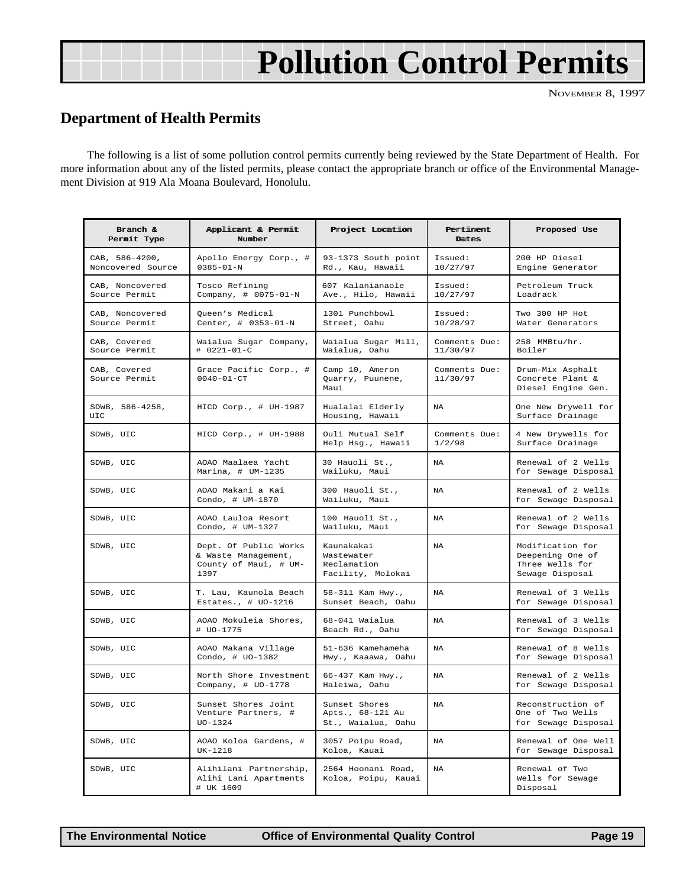# **Pollution Control Permits**

#### <span id="page-18-0"></span>**Department of Health Permits**

The following is a list of some pollution control permits currently being reviewed by the State Department of Health. For more information about any of the listed permits, please contact the appropriate branch or office of the Environmental Management Division at 919 Ala Moana Boulevard, Honolulu.

| Branch &<br>Permit Type             | Applicant & Permit<br>Number                                                  | Project Location                                             | Pertiment<br>Dates        | Proposed Use                                                               |
|-------------------------------------|-------------------------------------------------------------------------------|--------------------------------------------------------------|---------------------------|----------------------------------------------------------------------------|
| CAB, 586-4200,<br>Noncovered Source | Apollo Energy Corp., #<br>$0385 - 01 - N$                                     | 93-1373 South point<br>Rd., Kau, Hawaii                      | Issued:<br>10/27/97       | 200 HP Diesel<br>Engine Generator                                          |
| CAB, Noncovered<br>Source Permit    | Tosco Refining<br>Company, # 0075-01-N                                        | 607 Kalanianaole<br>Ave., Hilo, Hawaii                       | Tssued:<br>10/27/97       | Petroleum Truck<br>Loadrack                                                |
| CAB, Noncovered<br>Source Permit    | Queen's Medical<br>Center, # 0353-01-N                                        | 1301 Punchbowl<br>Street, Oahu                               | Issued:<br>10/28/97       | Two 300 HP Hot<br>Water Generators                                         |
| CAB, Covered<br>Source Permit       | Waialua Sugar Company,<br># 0221-01-C                                         | Waialua Sugar Mill,<br>Waialua, Oahu                         | Comments Due:<br>11/30/97 | 258 MMBtu/hr.<br>Boiler                                                    |
| CAB, Covered<br>Source Permit       | Grace Pacific Corp., #<br>$0040 - 01 - CT$                                    | Camp 10, Ameron<br>Quarry, Puunene,<br>Maui                  | Comments Due:<br>11/30/97 | Drum-Mix Asphalt<br>Concrete Plant &<br>Diesel Engine Gen.                 |
| SDWB, 586-4258,<br>UIC.             | HICD Corp., # UH-1987                                                         | Hualalai Elderly<br>Housing, Hawaii                          | NA                        | One New Drywell for<br>Surface Drainage                                    |
| SDWB, UIC                           | HICD Corp., # UH-1988                                                         | Ouli Mutual Self<br>Help Hsg., Hawaii                        | Comments Due:<br>1/2/98   | 4 New Drywells for<br>Surface Drainage                                     |
| SDWB, UIC                           | AOAO Maalaea Yacht<br>Marina, # UM-1235                                       | 30 Hauoli St.,<br>Wailuku, Maui                              | <b>NA</b>                 | Renewal of 2 Wells<br>for Sewage Disposal                                  |
| SDWB, UIC                           | AOAO Makani a Kai<br>Condo, # UM-1870                                         | 300 Hauoli St.,<br>Wailuku, Maui                             | <b>NA</b>                 | Renewal of 2 Wells<br>for Sewage Disposal                                  |
| SDWB, UIC                           | AOAO Lauloa Resort<br>Condo, # UM-1327                                        | 100 Hauoli St.,<br>Wailuku, Maui                             | NA                        | Renewal of 2 Wells<br>for Sewage Disposal                                  |
| SDWB, UIC                           | Dept. Of Public Works<br>& Waste Management,<br>County of Maui, # UM-<br>1397 | Kaunakakai<br>Wastewater<br>Reclamation<br>Facility, Molokai | <b>NA</b>                 | Modification for<br>Deepening One of<br>Three Wells for<br>Sewage Disposal |
| SDWB, UIC                           | T. Lau, Kaunola Beach<br>Estates., $\#$ UO-1216                               | 58-311 Kam Hwy.,<br>Sunset Beach, Oahu                       | <b>NA</b>                 | Renewal of 3 Wells<br>for Sewage Disposal                                  |
| SDWB, UIC                           | AOAO Mokuleia Shores,<br># UO-1775                                            | 68-041 Waialua<br>Beach Rd., Oahu                            | NA                        | Renewal of 3 Wells<br>for Sewage Disposal                                  |
| SDWB, UIC                           | AOAO Makana Village<br>Condo, # UO-1382                                       | 51-636 Kamehameha<br>Hwy., Kaaawa, Oahu                      | NA                        | Renewal of 8 Wells<br>for Sewage Disposal                                  |
| SDWB, UIC                           | North Shore Investment<br>Company, # UO-1778                                  | 66-437 Kam Hwy.,<br>Haleiwa, Oahu                            | <b>NA</b>                 | Renewal of 2 Wells<br>for Sewage Disposal                                  |
| SDWB, UIC                           | Sunset Shores Joint<br>Venture Partners, #<br>$UO-1324$                       | Sunset Shores<br>Apts., 68-121 Au<br>St., Waialua, Oahu      | NA                        | Reconstruction of<br>One of Two Wells<br>for Sewage Disposal               |
| SDWB, UIC                           | AOAO Koloa Gardens, #<br>UK-1218                                              | 3057 Poipu Road,<br>Koloa, Kauai                             | NA                        | Renewal of One Well<br>for Sewage Disposal                                 |
| SDWB, UIC                           | Alihilani Partnership,<br>Alihi Lani Apartments<br># UK 1609                  | 2564 Hoonani Road,<br>Koloa, Poipu, Kauai                    | <b>NA</b>                 | Renewal of Two<br>Wells for Sewage<br>Disposal                             |